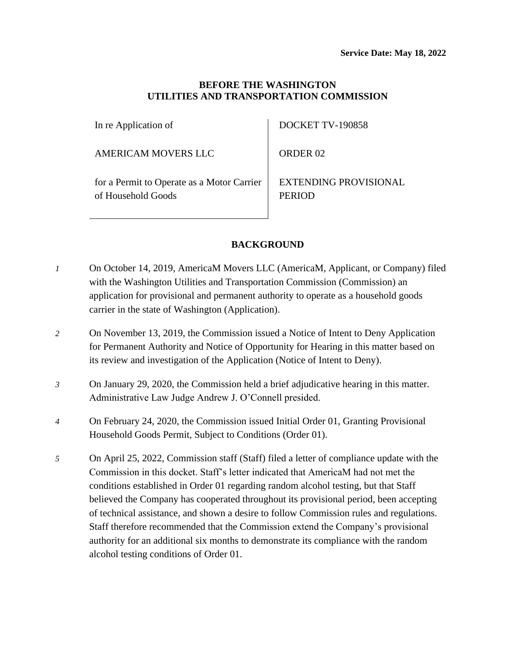## **BEFORE THE WASHINGTON UTILITIES AND TRANSPORTATION COMMISSION**

In re Application of

AMERICAM MOVERS LLC

DOCKET TV-190858

ORDER 02

for a Permit to Operate as a Motor Carrier of Household Goods

EXTENDING PROVISIONAL PERIOD

# **BACKGROUND**

- *1* On October 14, 2019, AmericaM Movers LLC (AmericaM, Applicant, or Company) filed with the Washington Utilities and Transportation Commission (Commission) an application for provisional and permanent authority to operate as a household goods carrier in the state of Washington (Application).
- *2* On November 13, 2019, the Commission issued a Notice of Intent to Deny Application for Permanent Authority and Notice of Opportunity for Hearing in this matter based on its review and investigation of the Application (Notice of Intent to Deny).
- *3* On January 29, 2020, the Commission held a brief adjudicative hearing in this matter. Administrative Law Judge Andrew J. O'Connell presided.
- *4* On February 24, 2020, the Commission issued Initial Order 01, Granting Provisional Household Goods Permit, Subject to Conditions (Order 01).
- *5* On April 25, 2022, Commission staff (Staff) filed a letter of compliance update with the Commission in this docket. Staff's letter indicated that AmericaM had not met the conditions established in Order 01 regarding random alcohol testing, but that Staff believed the Company has cooperated throughout its provisional period, been accepting of technical assistance, and shown a desire to follow Commission rules and regulations. Staff therefore recommended that the Commission extend the Company's provisional authority for an additional six months to demonstrate its compliance with the random alcohol testing conditions of Order 01.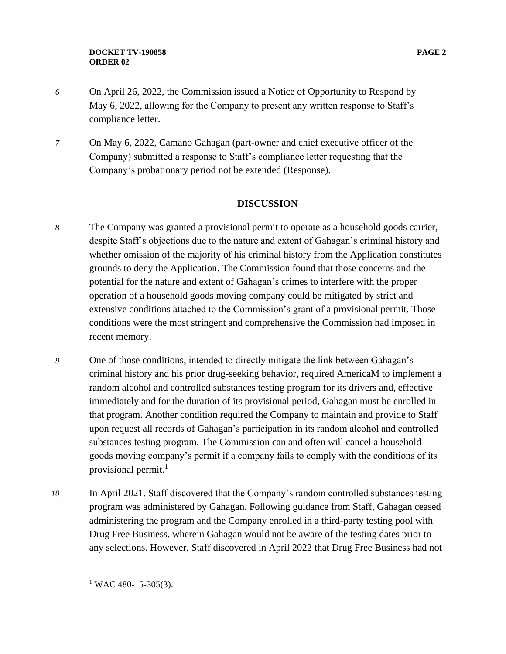- *6* On April 26, 2022, the Commission issued a Notice of Opportunity to Respond by May 6, 2022, allowing for the Company to present any written response to Staff's compliance letter.
- *7* On May 6, 2022, Camano Gahagan (part-owner and chief executive officer of the Company) submitted a response to Staff's compliance letter requesting that the Company's probationary period not be extended (Response).

### **DISCUSSION**

- *8* The Company was granted a provisional permit to operate as a household goods carrier, despite Staff's objections due to the nature and extent of Gahagan's criminal history and whether omission of the majority of his criminal history from the Application constitutes grounds to deny the Application. The Commission found that those concerns and the potential for the nature and extent of Gahagan's crimes to interfere with the proper operation of a household goods moving company could be mitigated by strict and extensive conditions attached to the Commission's grant of a provisional permit. Those conditions were the most stringent and comprehensive the Commission had imposed in recent memory.
- *9* One of those conditions, intended to directly mitigate the link between Gahagan's criminal history and his prior drug-seeking behavior, required AmericaM to implement a random alcohol and controlled substances testing program for its drivers and, effective immediately and for the duration of its provisional period, Gahagan must be enrolled in that program. Another condition required the Company to maintain and provide to Staff upon request all records of Gahagan's participation in its random alcohol and controlled substances testing program. The Commission can and often will cancel a household goods moving company's permit if a company fails to comply with the conditions of its provisional permit. $<sup>1</sup>$ </sup>
- *10* In April 2021, Staff discovered that the Company's random controlled substances testing program was administered by Gahagan. Following guidance from Staff, Gahagan ceased administering the program and the Company enrolled in a third-party testing pool with Drug Free Business, wherein Gahagan would not be aware of the testing dates prior to any selections. However, Staff discovered in April 2022 that Drug Free Business had not

 $1$  WAC 480-15-305(3).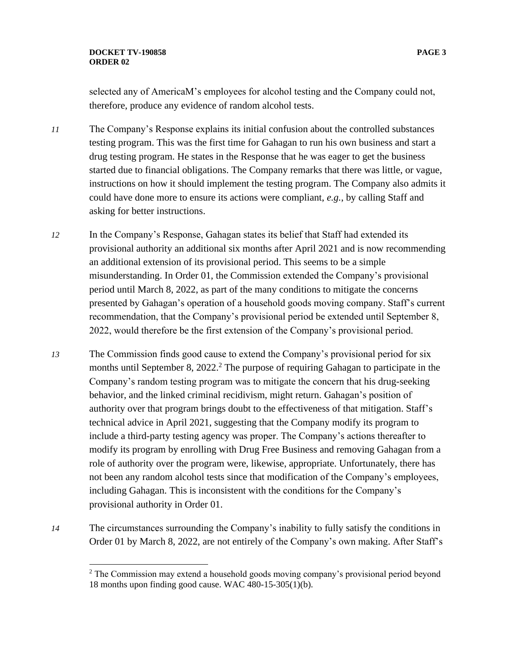#### **DOCKET TV-190858 PAGE 3 ORDER 02**

selected any of AmericaM's employees for alcohol testing and the Company could not, therefore, produce any evidence of random alcohol tests.

- *11* The Company's Response explains its initial confusion about the controlled substances testing program. This was the first time for Gahagan to run his own business and start a drug testing program. He states in the Response that he was eager to get the business started due to financial obligations. The Company remarks that there was little, or vague, instructions on how it should implement the testing program. The Company also admits it could have done more to ensure its actions were compliant, *e.g.*, by calling Staff and asking for better instructions.
- *12* In the Company's Response, Gahagan states its belief that Staff had extended its provisional authority an additional six months after April 2021 and is now recommending an additional extension of its provisional period. This seems to be a simple misunderstanding. In Order 01, the Commission extended the Company's provisional period until March 8, 2022, as part of the many conditions to mitigate the concerns presented by Gahagan's operation of a household goods moving company. Staff's current recommendation, that the Company's provisional period be extended until September 8, 2022, would therefore be the first extension of the Company's provisional period.
- *13* The Commission finds good cause to extend the Company's provisional period for six months until September 8, 2022.<sup>2</sup> The purpose of requiring Gahagan to participate in the Company's random testing program was to mitigate the concern that his drug-seeking behavior, and the linked criminal recidivism, might return. Gahagan's position of authority over that program brings doubt to the effectiveness of that mitigation. Staff's technical advice in April 2021, suggesting that the Company modify its program to include a third-party testing agency was proper. The Company's actions thereafter to modify its program by enrolling with Drug Free Business and removing Gahagan from a role of authority over the program were, likewise, appropriate. Unfortunately, there has not been any random alcohol tests since that modification of the Company's employees, including Gahagan. This is inconsistent with the conditions for the Company's provisional authority in Order 01.
- *14* The circumstances surrounding the Company's inability to fully satisfy the conditions in Order 01 by March 8, 2022, are not entirely of the Company's own making. After Staff's

 $2^2$  The Commission may extend a household goods moving company's provisional period beyond 18 months upon finding good cause. WAC 480-15-305(1)(b).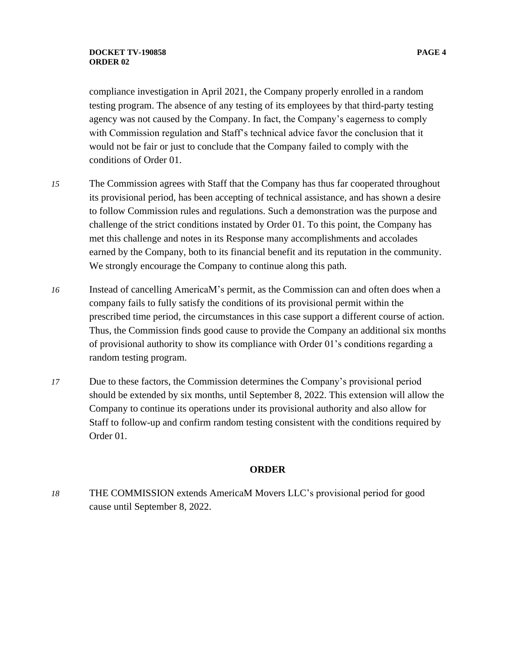#### **DOCKET TV-190858 PAGE 4 ORDER 02**

compliance investigation in April 2021, the Company properly enrolled in a random testing program. The absence of any testing of its employees by that third-party testing agency was not caused by the Company. In fact, the Company's eagerness to comply with Commission regulation and Staff's technical advice favor the conclusion that it would not be fair or just to conclude that the Company failed to comply with the conditions of Order 01.

- *15* The Commission agrees with Staff that the Company has thus far cooperated throughout its provisional period, has been accepting of technical assistance, and has shown a desire to follow Commission rules and regulations. Such a demonstration was the purpose and challenge of the strict conditions instated by Order 01. To this point, the Company has met this challenge and notes in its Response many accomplishments and accolades earned by the Company, both to its financial benefit and its reputation in the community. We strongly encourage the Company to continue along this path.
- *16* Instead of cancelling AmericaM's permit, as the Commission can and often does when a company fails to fully satisfy the conditions of its provisional permit within the prescribed time period, the circumstances in this case support a different course of action. Thus, the Commission finds good cause to provide the Company an additional six months of provisional authority to show its compliance with Order 01's conditions regarding a random testing program.
- *17* Due to these factors, the Commission determines the Company's provisional period should be extended by six months, until September 8, 2022. This extension will allow the Company to continue its operations under its provisional authority and also allow for Staff to follow-up and confirm random testing consistent with the conditions required by Order 01.

#### **ORDER**

*18* THE COMMISSION extends AmericaM Movers LLC's provisional period for good cause until September 8, 2022.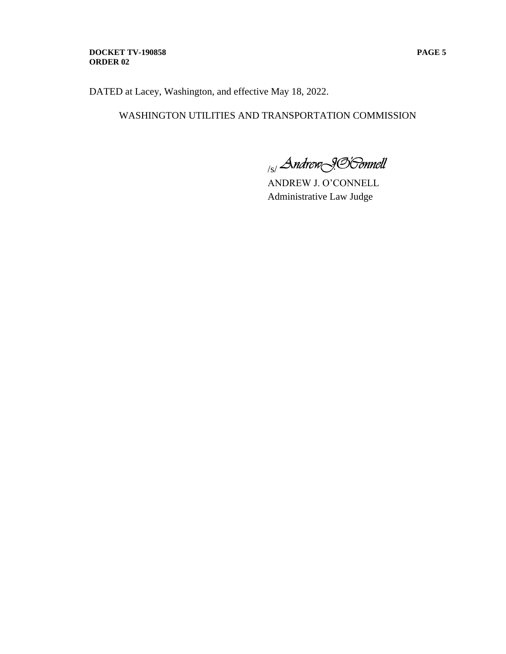#### **DOCKET TV-190858 PAGE 5 ORDER 02**

DATED at Lacey, Washington, and effective May 18, 2022.

# WASHINGTON UTILITIES AND TRANSPORTATION COMMISSION

<sub>/s/</sub> Andrew<sub>19</sub>96 onnell

ANDREW J. O'CONNELL Administrative Law Judge